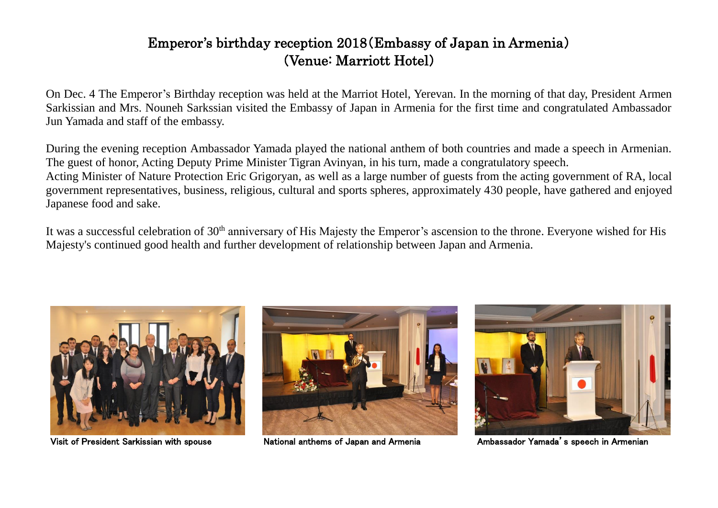## Emperor's birthday reception 2018(Embassy of Japan in Armenia) (Venue: Marriott Hotel)

On Dec. 4 The Emperor's Birthday reception was held at the Marriot Hotel, Yerevan. In the morning of that day, President Armen Sarkissian and Mrs. Nouneh Sarkssian visited the Embassy of Japan in Armenia for the first time and congratulated Ambassador Jun Yamada and staff of the embassy.

During the evening reception Ambassador Yamada played the national anthem of both countries and made a speech in Armenian. The guest of honor, Acting Deputy Prime Minister Tigran Avinyan, in his turn, made a congratulatory speech. Acting Minister of Nature Protection Eric Grigoryan, as well as a large number of guests from the acting government of RA, local government representatives, business, religious, cultural and sports spheres, approximately 430 people, have gathered and enjoyed Japanese food and sake.

It was a successful celebration of 30<sup>th</sup> anniversary of His Majesty the Emperor's ascension to the throne. Everyone wished for His Majesty's continued good health and further development of relationship between Japan and Armenia.



Visit of President Sarkissian with spouse National anthems of Japan and Armenia Ambassador Yamada's speech in Armenian